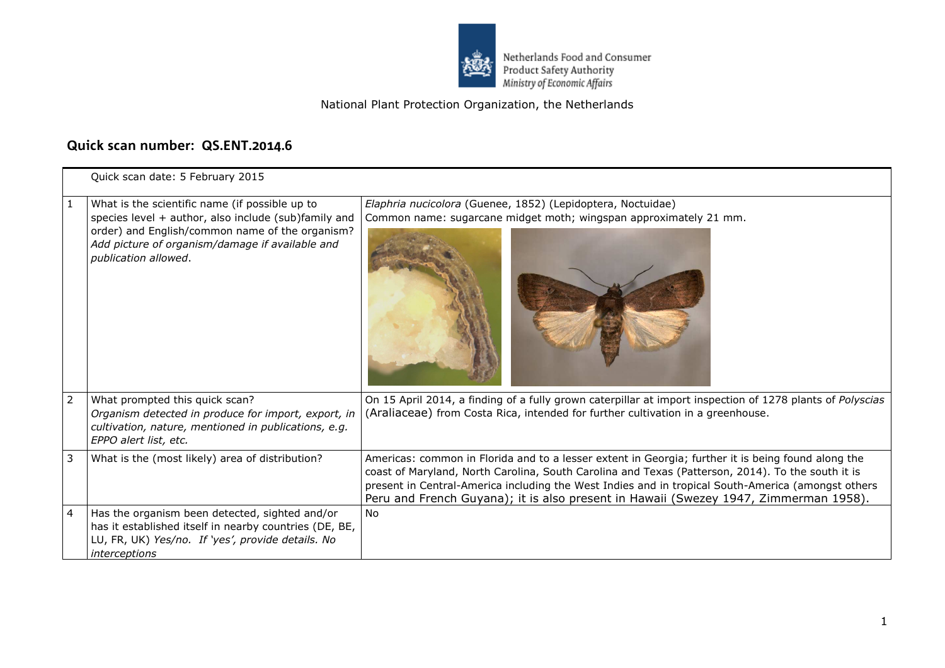

Netherlands Food and Consumer<br>Product Safety Authority<br>Ministry of Economic Affairs

## National Plant Protection Organization, the Netherlands

## **Quick scan number: QS.ENT.2014.6**

|                | Quick scan date: 5 February 2015                                                                                                                                                                                                     |                                                                                                                                                                                                                                                                                                                                                                                                       |  |
|----------------|--------------------------------------------------------------------------------------------------------------------------------------------------------------------------------------------------------------------------------------|-------------------------------------------------------------------------------------------------------------------------------------------------------------------------------------------------------------------------------------------------------------------------------------------------------------------------------------------------------------------------------------------------------|--|
|                | What is the scientific name (if possible up to<br>species level + author, also include (sub)family and<br>order) and English/common name of the organism?<br>Add picture of organism/damage if available and<br>publication allowed. | Elaphria nucicolora (Guenee, 1852) (Lepidoptera, Noctuidae)<br>Common name: sugarcane midget moth; wingspan approximately 21 mm.                                                                                                                                                                                                                                                                      |  |
| $\overline{2}$ | What prompted this quick scan?<br>Organism detected in produce for import, export, in<br>cultivation, nature, mentioned in publications, e.g.<br>EPPO alert list, etc.                                                               | On 15 April 2014, a finding of a fully grown caterpillar at import inspection of 1278 plants of Polyscias<br>(Araliaceae) from Costa Rica, intended for further cultivation in a greenhouse.                                                                                                                                                                                                          |  |
| 3              | What is the (most likely) area of distribution?                                                                                                                                                                                      | Americas: common in Florida and to a lesser extent in Georgia; further it is being found along the<br>coast of Maryland, North Carolina, South Carolina and Texas (Patterson, 2014). To the south it is<br>present in Central-America including the West Indies and in tropical South-America (amongst others<br>Peru and French Guyana); it is also present in Hawaii (Swezey 1947, Zimmerman 1958). |  |
| $\overline{4}$ | Has the organism been detected, sighted and/or<br>has it established itself in nearby countries (DE, BE,<br>LU, FR, UK) Yes/no. If 'yes', provide details. No<br>interceptions                                                       | No.                                                                                                                                                                                                                                                                                                                                                                                                   |  |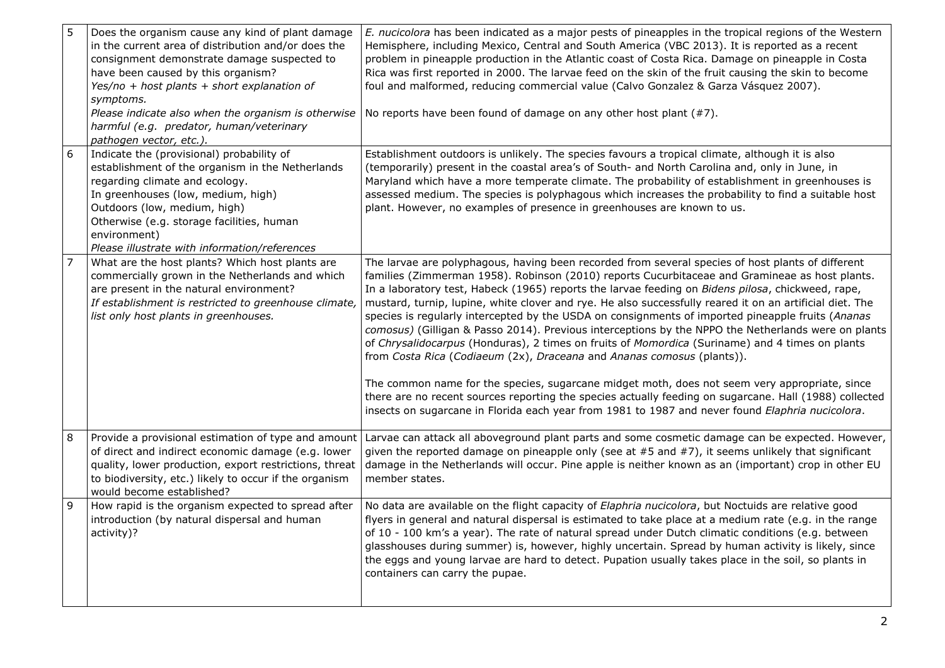| 5<br>Does the organism cause any kind of plant damage<br>in the current area of distribution and/or does the<br>consignment demonstrate damage suspected to<br>have been caused by this organism?<br>Yes/no + host plants + short explanation of<br>symptoms.<br>Please indicate also when the organism is otherwise<br>harmful (e.g. predator, human/veterinary<br>pathogen vector, etc.). | E. nucicolora has been indicated as a major pests of pineapples in the tropical regions of the Western<br>Hemisphere, including Mexico, Central and South America (VBC 2013). It is reported as a recent<br>problem in pineapple production in the Atlantic coast of Costa Rica. Damage on pineapple in Costa<br>Rica was first reported in 2000. The larvae feed on the skin of the fruit causing the skin to become<br>foul and malformed, reducing commercial value (Calvo Gonzalez & Garza Vásquez 2007).<br>No reports have been found of damage on any other host plant $(#7)$ .                                                                                                                                                                                                                                                                                                                                                                                                                                                                                                                                       |
|---------------------------------------------------------------------------------------------------------------------------------------------------------------------------------------------------------------------------------------------------------------------------------------------------------------------------------------------------------------------------------------------|------------------------------------------------------------------------------------------------------------------------------------------------------------------------------------------------------------------------------------------------------------------------------------------------------------------------------------------------------------------------------------------------------------------------------------------------------------------------------------------------------------------------------------------------------------------------------------------------------------------------------------------------------------------------------------------------------------------------------------------------------------------------------------------------------------------------------------------------------------------------------------------------------------------------------------------------------------------------------------------------------------------------------------------------------------------------------------------------------------------------------|
| 6<br>Indicate the (provisional) probability of<br>establishment of the organism in the Netherlands<br>regarding climate and ecology.<br>In greenhouses (low, medium, high)<br>Outdoors (low, medium, high)<br>Otherwise (e.g. storage facilities, human<br>environment)<br>Please illustrate with information/references                                                                    | Establishment outdoors is unlikely. The species favours a tropical climate, although it is also<br>(temporarily) present in the coastal area's of South- and North Carolina and, only in June, in<br>Maryland which have a more temperate climate. The probability of establishment in greenhouses is<br>assessed medium. The species is polyphagous which increases the probability to find a suitable host<br>plant. However, no examples of presence in greenhouses are known to us.                                                                                                                                                                                                                                                                                                                                                                                                                                                                                                                                                                                                                                      |
| What are the host plants? Which host plants are<br>commercially grown in the Netherlands and which<br>are present in the natural environment?<br>If establishment is restricted to greenhouse climate,<br>list only host plants in greenhouses.                                                                                                                                             | The larvae are polyphagous, having been recorded from several species of host plants of different<br>families (Zimmerman 1958). Robinson (2010) reports Cucurbitaceae and Gramineae as host plants.<br>In a laboratory test, Habeck (1965) reports the larvae feeding on Bidens pilosa, chickweed, rape,<br>mustard, turnip, lupine, white clover and rye. He also successfully reared it on an artificial diet. The<br>species is regularly intercepted by the USDA on consignments of imported pineapple fruits (Ananas<br>comosus) (Gilligan & Passo 2014). Previous interceptions by the NPPO the Netherlands were on plants<br>of Chrysalidocarpus (Honduras), 2 times on fruits of Momordica (Suriname) and 4 times on plants<br>from Costa Rica (Codiaeum (2x), Draceana and Ananas comosus (plants)).<br>The common name for the species, sugarcane midget moth, does not seem very appropriate, since<br>there are no recent sources reporting the species actually feeding on sugarcane. Hall (1988) collected<br>insects on sugarcane in Florida each year from 1981 to 1987 and never found Elaphria nucicolora. |
| 8<br>Provide a provisional estimation of type and amount<br>of direct and indirect economic damage (e.g. lower<br>quality, lower production, export restrictions, threat<br>to biodiversity, etc.) likely to occur if the organism<br>would become established?                                                                                                                             | Larvae can attack all aboveground plant parts and some cosmetic damage can be expected. However,<br>given the reported damage on pineapple only (see at $#5$ and $#7$ ), it seems unlikely that significant<br>damage in the Netherlands will occur. Pine apple is neither known as an (important) crop in other EU<br>member states.                                                                                                                                                                                                                                                                                                                                                                                                                                                                                                                                                                                                                                                                                                                                                                                        |
| 9<br>How rapid is the organism expected to spread after<br>introduction (by natural dispersal and human<br>activity)?                                                                                                                                                                                                                                                                       | No data are available on the flight capacity of Elaphria nucicolora, but Noctuids are relative good<br>flyers in general and natural dispersal is estimated to take place at a medium rate (e.g. in the range<br>of 10 - 100 km's a year). The rate of natural spread under Dutch climatic conditions (e.g. between<br>glasshouses during summer) is, however, highly uncertain. Spread by human activity is likely, since<br>the eggs and young larvae are hard to detect. Pupation usually takes place in the soil, so plants in<br>containers can carry the pupae.                                                                                                                                                                                                                                                                                                                                                                                                                                                                                                                                                        |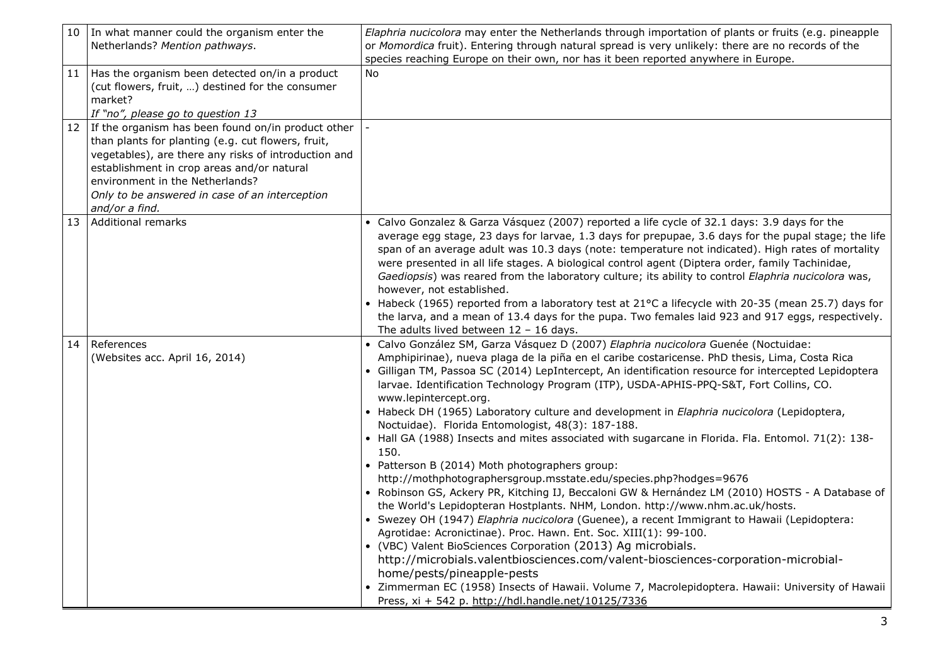| 10 | In what manner could the organism enter the                                                                                                                                                                                                                                                                           | Elaphria nucicolora may enter the Netherlands through importation of plants or fruits (e.g. pineapple                                                                                                                                                                                                                                                                                                                                                                                                                                                                                                                                                                                                                                                                                                                                                                                                                                                                                                                                                                                                                                                                                                                                                                                                                                                                                                                                                                                                      |
|----|-----------------------------------------------------------------------------------------------------------------------------------------------------------------------------------------------------------------------------------------------------------------------------------------------------------------------|------------------------------------------------------------------------------------------------------------------------------------------------------------------------------------------------------------------------------------------------------------------------------------------------------------------------------------------------------------------------------------------------------------------------------------------------------------------------------------------------------------------------------------------------------------------------------------------------------------------------------------------------------------------------------------------------------------------------------------------------------------------------------------------------------------------------------------------------------------------------------------------------------------------------------------------------------------------------------------------------------------------------------------------------------------------------------------------------------------------------------------------------------------------------------------------------------------------------------------------------------------------------------------------------------------------------------------------------------------------------------------------------------------------------------------------------------------------------------------------------------------|
|    | Netherlands? Mention pathways.                                                                                                                                                                                                                                                                                        | or Momordica fruit). Entering through natural spread is very unlikely: there are no records of the<br>species reaching Europe on their own, nor has it been reported anywhere in Europe.                                                                                                                                                                                                                                                                                                                                                                                                                                                                                                                                                                                                                                                                                                                                                                                                                                                                                                                                                                                                                                                                                                                                                                                                                                                                                                                   |
| 11 | Has the organism been detected on/in a product<br>(cut flowers, fruit, ) destined for the consumer<br>market?<br>If "no", please go to question 13                                                                                                                                                                    | <b>No</b>                                                                                                                                                                                                                                                                                                                                                                                                                                                                                                                                                                                                                                                                                                                                                                                                                                                                                                                                                                                                                                                                                                                                                                                                                                                                                                                                                                                                                                                                                                  |
| 12 | If the organism has been found on/in product other<br>than plants for planting (e.g. cut flowers, fruit,<br>vegetables), are there any risks of introduction and<br>establishment in crop areas and/or natural<br>environment in the Netherlands?<br>Only to be answered in case of an interception<br>and/or a find. |                                                                                                                                                                                                                                                                                                                                                                                                                                                                                                                                                                                                                                                                                                                                                                                                                                                                                                                                                                                                                                                                                                                                                                                                                                                                                                                                                                                                                                                                                                            |
| 13 | Additional remarks                                                                                                                                                                                                                                                                                                    | • Calvo Gonzalez & Garza Vásquez (2007) reported a life cycle of 32.1 days: 3.9 days for the<br>average egg stage, 23 days for larvae, 1.3 days for prepupae, 3.6 days for the pupal stage; the life<br>span of an average adult was 10.3 days (note: temperature not indicated). High rates of mortality<br>were presented in all life stages. A biological control agent (Diptera order, family Tachinidae,<br>Gaediopsis) was reared from the laboratory culture; its ability to control Elaphria nucicolora was,<br>however, not established.<br>• Habeck (1965) reported from a laboratory test at 21°C a lifecycle with 20-35 (mean 25.7) days for<br>the larva, and a mean of 13.4 days for the pupa. Two females laid 923 and 917 eggs, respectively.<br>The adults lived between $12 - 16$ days.                                                                                                                                                                                                                                                                                                                                                                                                                                                                                                                                                                                                                                                                                                  |
| 14 | References<br>(Websites acc. April 16, 2014)                                                                                                                                                                                                                                                                          | Calvo González SM, Garza Vásquez D (2007) Elaphria nucicolora Guenée (Noctuidae:<br>Amphipirinae), nueva plaga de la piña en el caribe costaricense. PhD thesis, Lima, Costa Rica<br>• Gilligan TM, Passoa SC (2014) LepIntercept, An identification resource for intercepted Lepidoptera<br>larvae. Identification Technology Program (ITP), USDA-APHIS-PPQ-S&T, Fort Collins, CO.<br>www.lepintercept.org.<br>• Habeck DH (1965) Laboratory culture and development in Elaphria nucicolora (Lepidoptera,<br>Noctuidae). Florida Entomologist, 48(3): 187-188.<br>• Hall GA (1988) Insects and mites associated with sugarcane in Florida. Fla. Entomol. 71(2): 138-<br>150.<br>• Patterson B (2014) Moth photographers group:<br>http://mothphotographersgroup.msstate.edu/species.php?hodges=9676<br>• Robinson GS, Ackery PR, Kitching IJ, Beccaloni GW & Hernández LM (2010) HOSTS - A Database of<br>the World's Lepidopteran Hostplants. NHM, London. http://www.nhm.ac.uk/hosts.<br>• Swezey OH (1947) Elaphria nucicolora (Guenee), a recent Immigrant to Hawaii (Lepidoptera:<br>Agrotidae: Acronictinae). Proc. Hawn. Ent. Soc. XIII(1): 99-100.<br>• (VBC) Valent BioSciences Corporation (2013) Ag microbials.<br>http://microbials.valentbiosciences.com/valent-biosciences-corporation-microbial-<br>home/pests/pineapple-pests<br>• Zimmerman EC (1958) Insects of Hawaii. Volume 7, Macrolepidoptera. Hawaii: University of Hawaii<br>Press, xi + 542 p. http://hdl.handle.net/10125/7336 |